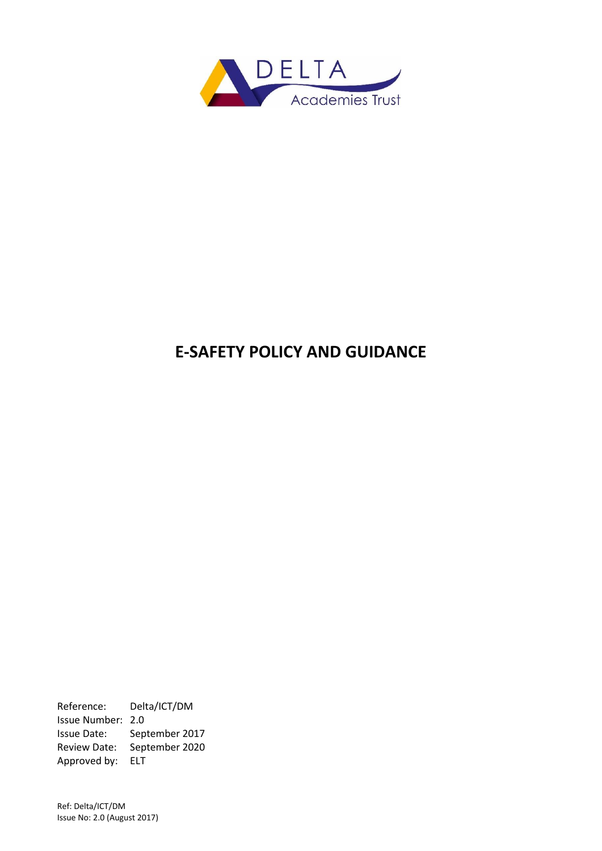

# **E-SAFETY POLICY AND GUIDANCE**

Reference: Delta/ICT/DM Issue Number: 2.0 Issue Date: September 2017 Review Date: September 2020 Approved by: ELT

Ref: Delta/ICT/DM Issue No: 2.0 (August 2017)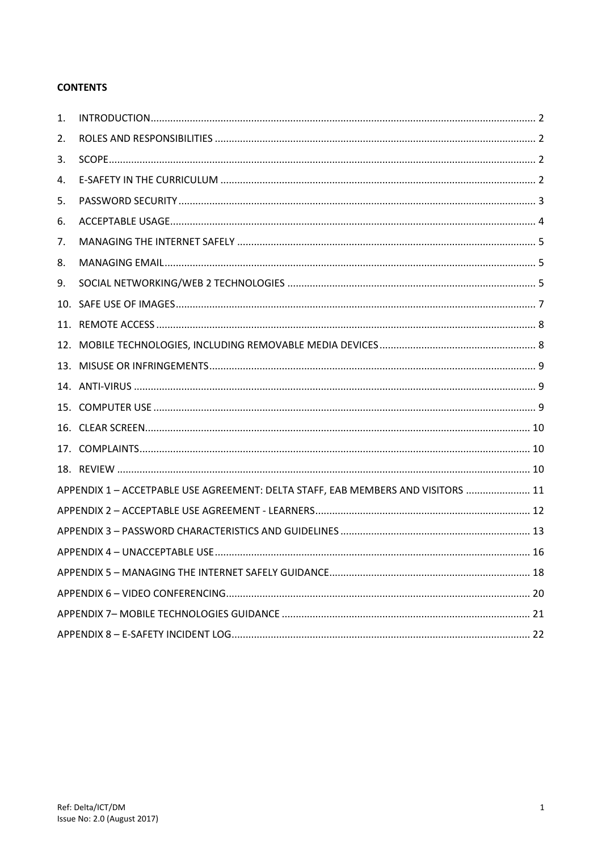# **CONTENTS**

| 1.  |                                                                                  |  |
|-----|----------------------------------------------------------------------------------|--|
| 2.  |                                                                                  |  |
| 3.  |                                                                                  |  |
| 4.  |                                                                                  |  |
| 5.  |                                                                                  |  |
| 6.  |                                                                                  |  |
| 7.  |                                                                                  |  |
| 8.  |                                                                                  |  |
| 9.  |                                                                                  |  |
|     |                                                                                  |  |
|     |                                                                                  |  |
| 12. |                                                                                  |  |
| 13. |                                                                                  |  |
|     |                                                                                  |  |
|     |                                                                                  |  |
|     |                                                                                  |  |
|     |                                                                                  |  |
|     |                                                                                  |  |
|     |                                                                                  |  |
|     | APPENDIX 1 - ACCETPABLE USE AGREEMENT: DELTA STAFF, EAB MEMBERS AND VISITORS  11 |  |
|     |                                                                                  |  |
|     |                                                                                  |  |
|     |                                                                                  |  |
|     |                                                                                  |  |
|     |                                                                                  |  |
|     |                                                                                  |  |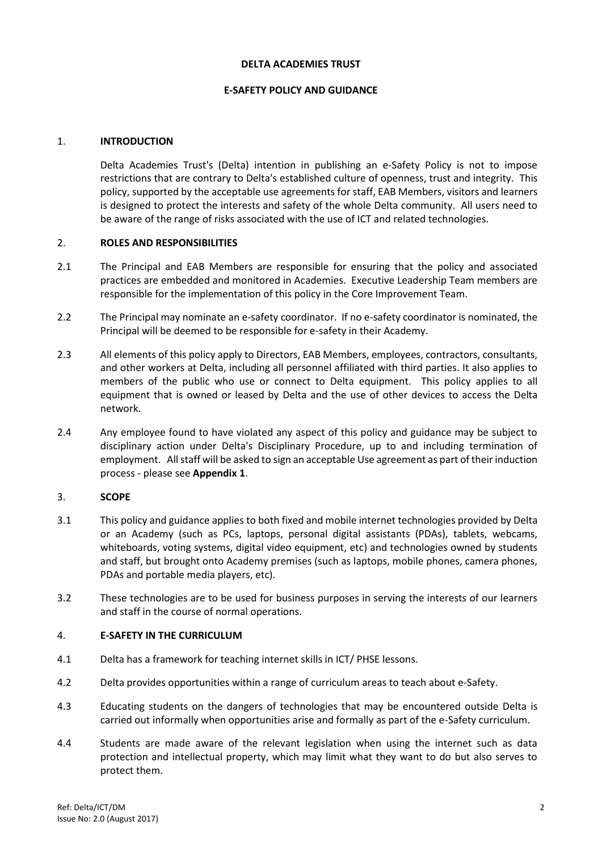#### **DELTA ACADEMIES TRUST**

## **E-SAFETY POLICY AND GUIDANCE**

# <span id="page-2-0"></span>1. **INTRODUCTION**

Delta Academies Trust's (Delta) intention in publishing an e-Safety Policy is not to impose restrictions that are contrary to Delta's established culture of openness, trust and integrity. This policy, supported by the acceptable use agreements for staff, EAB Members, visitors and learners is designed to protect the interests and safety of the whole Delta community. All users need to be aware of the range of risks associated with the use of ICT and related technologies.

# <span id="page-2-1"></span>2. **ROLES AND RESPONSIBILITIES**

- 2.1 The Principal and EAB Members are responsible for ensuring that the policy and associated practices are embedded and monitored in Academies. Executive Leadership Team members are responsible for the implementation of this policy in the Core Improvement Team.
- 2.2 The Principal may nominate an e-safety coordinator. If no e-safety coordinator is nominated, the Principal will be deemed to be responsible for e-safety in their Academy.
- 2.3 All elements of this policy apply to Directors, EAB Members, employees, contractors, consultants, and other workers at Delta, including all personnel affiliated with third parties. It also applies to members of the public who use or connect to Delta equipment. This policy applies to all equipment that is owned or leased by Delta and the use of other devices to access the Delta network.
- 2.4 Any employee found to have violated any aspect of this policy and guidance may be subject to disciplinary action under Delta's Disciplinary Procedure, up to and including termination of employment. All staff will be asked to sign an acceptable Use agreement as part of their induction process - please see **Appendix 1**.

#### <span id="page-2-2"></span>3. **SCOPE**

- 3.1 This policy and guidance applies to both fixed and mobile internet technologies provided by Delta or an Academy (such as PCs, laptops, personal digital assistants (PDAs), tablets, webcams, whiteboards, voting systems, digital video equipment, etc) and technologies owned by students and staff, but brought onto Academy premises (such as laptops, mobile phones, camera phones, PDAs and portable media players, etc).
- 3.2 These technologies are to be used for business purposes in serving the interests of our learners and staff in the course of normal operations.

# <span id="page-2-3"></span>4. **E-SAFETY IN THE CURRICULUM**

- 4.1 Delta has a framework for teaching internet skills in ICT/ PHSE lessons.
- 4.2 Delta provides opportunities within a range of curriculum areas to teach about e-Safety.
- 4.3 Educating students on the dangers of technologies that may be encountered outside Delta is carried out informally when opportunities arise and formally as part of the e-Safety curriculum.
- 4.4 Students are made aware of the relevant legislation when using the internet such as data protection and intellectual property, which may limit what they want to do but also serves to protect them.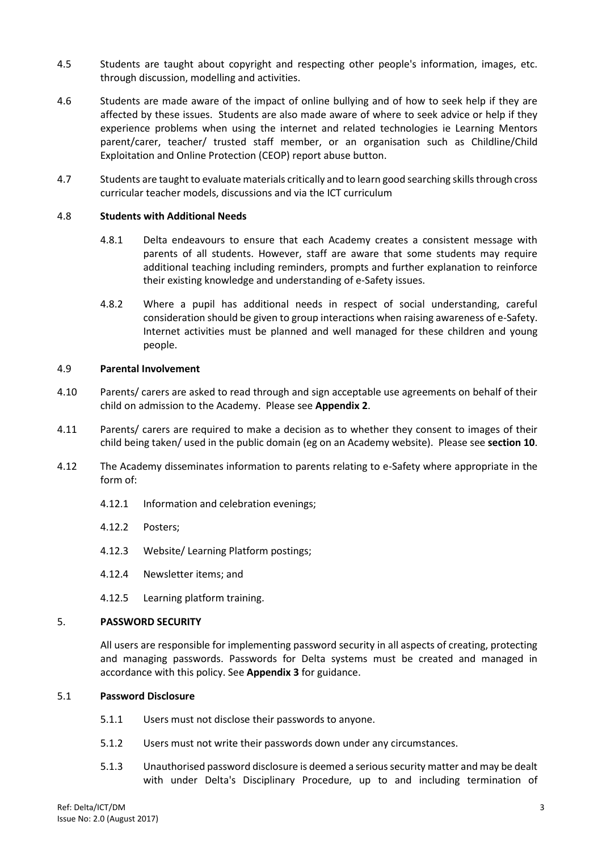- 4.5 Students are taught about copyright and respecting other people's information, images, etc. through discussion, modelling and activities.
- 4.6 Students are made aware of the impact of online bullying and of how to seek help if they are affected by these issues. Students are also made aware of where to seek advice or help if they experience problems when using the internet and related technologies ie Learning Mentors parent/carer, teacher/ trusted staff member, or an organisation such as Childline/Child Exploitation and Online Protection (CEOP) report abuse button.
- 4.7 Students are taught to evaluate materials critically and to learn good searching skills through cross curricular teacher models, discussions and via the ICT curriculum

#### 4.8 **Students with Additional Needs**

- 4.8.1 Delta endeavours to ensure that each Academy creates a consistent message with parents of all students. However, staff are aware that some students may require additional teaching including reminders, prompts and further explanation to reinforce their existing knowledge and understanding of e-Safety issues.
- 4.8.2 Where a pupil has additional needs in respect of social understanding, careful consideration should be given to group interactions when raising awareness of e-Safety. Internet activities must be planned and well managed for these children and young people.

#### 4.9 **Parental Involvement**

- 4.10 Parents/ carers are asked to read through and sign acceptable use agreements on behalf of their child on admission to the Academy. Please see **Appendix 2**.
- 4.11 Parents/ carers are required to make a decision as to whether they consent to images of their child being taken/ used in the public domain (eg on an Academy website). Please see **section 10**.
- 4.12 The Academy disseminates information to parents relating to e-Safety where appropriate in the form of:
	- 4.12.1 Information and celebration evenings;
	- 4.12.2 Posters;
	- 4.12.3 Website/ Learning Platform postings;
	- 4.12.4 Newsletter items; and
	- 4.12.5 Learning platform training.

#### <span id="page-3-0"></span>5. **PASSWORD SECURITY**

All users are responsible for implementing password security in all aspects of creating, protecting and managing passwords. Passwords for Delta systems must be created and managed in accordance with this policy. See **Appendix 3** for guidance.

#### 5.1 **Password Disclosure**

- 5.1.1 Users must not disclose their passwords to anyone.
- 5.1.2 Users must not write their passwords down under any circumstances.
- 5.1.3 Unauthorised password disclosure is deemed a serious security matter and may be dealt with under Delta's Disciplinary Procedure, up to and including termination of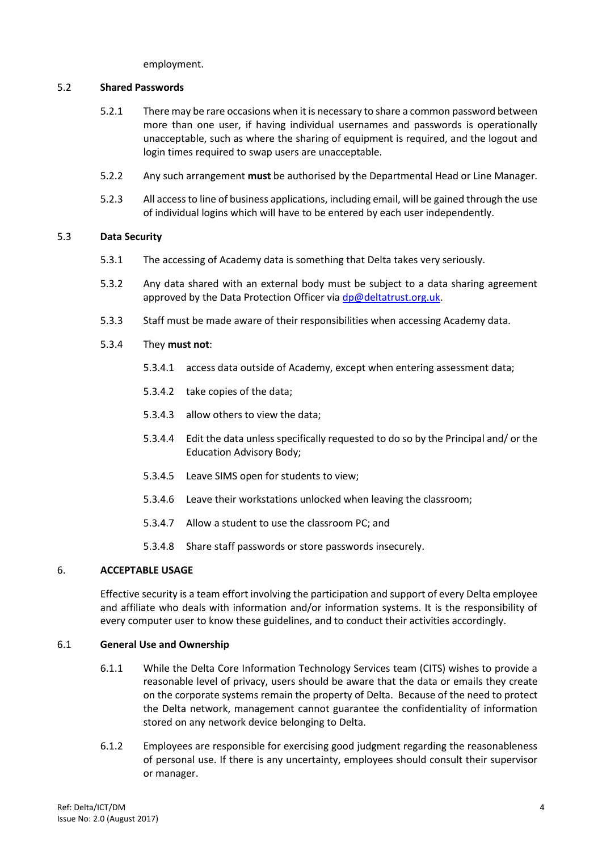employment.

## 5.2 **Shared Passwords**

- 5.2.1 There may be rare occasions when it is necessary to share a common password between more than one user, if having individual usernames and passwords is operationally unacceptable, such as where the sharing of equipment is required, and the logout and login times required to swap users are unacceptable.
- 5.2.2 Any such arrangement **must** be authorised by the Departmental Head or Line Manager.
- 5.2.3 All access to line of business applications, including email, will be gained through the use of individual logins which will have to be entered by each user independently.

# 5.3 **Data Security**

- 5.3.1 The accessing of Academy data is something that Delta takes very seriously.
- 5.3.2 Any data shared with an external body must be subject to a data sharing agreement approved by the Data Protection Officer via  $dp@deltatrust.org.uk$ .
- 5.3.3 Staff must be made aware of their responsibilities when accessing Academy data.
- 5.3.4 They **must not**:
	- 5.3.4.1 access data outside of Academy, except when entering assessment data;
	- 5.3.4.2 take copies of the data;
	- 5.3.4.3 allow others to view the data;
	- 5.3.4.4 Edit the data unless specifically requested to do so by the Principal and/ or the Education Advisory Body;
	- 5.3.4.5 Leave SIMS open for students to view;
	- 5.3.4.6 Leave their workstations unlocked when leaving the classroom;
	- 5.3.4.7 Allow a student to use the classroom PC; and
	- 5.3.4.8 Share staff passwords or store passwords insecurely.

# <span id="page-4-0"></span>6. **ACCEPTABLE USAGE**

Effective security is a team effort involving the participation and support of every Delta employee and affiliate who deals with information and/or information systems. It is the responsibility of every computer user to know these guidelines, and to conduct their activities accordingly.

#### 6.1 **General Use and Ownership**

- 6.1.1 While the Delta Core Information Technology Services team (CITS) wishes to provide a reasonable level of privacy, users should be aware that the data or emails they create on the corporate systems remain the property of Delta. Because of the need to protect the Delta network, management cannot guarantee the confidentiality of information stored on any network device belonging to Delta.
- 6.1.2 Employees are responsible for exercising good judgment regarding the reasonableness of personal use. If there is any uncertainty, employees should consult their supervisor or manager.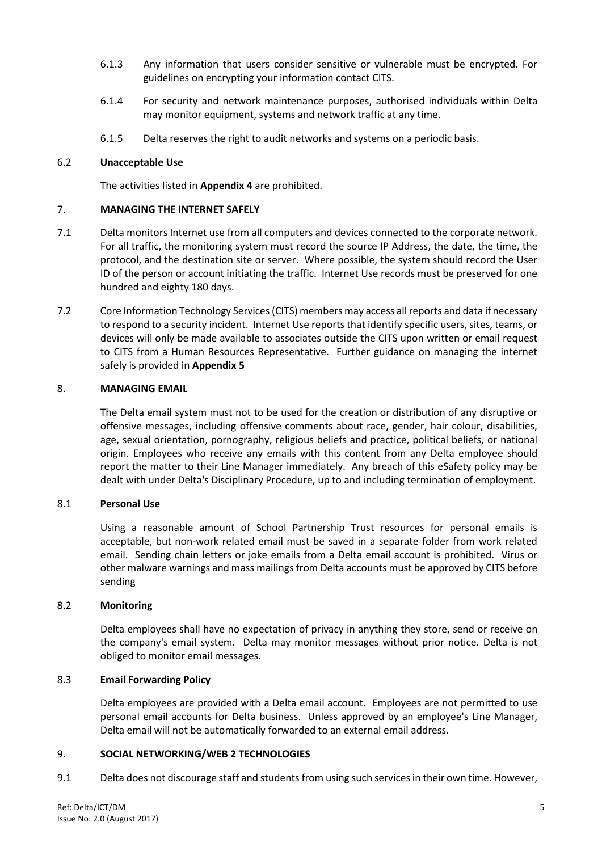- 6.1.3 Any information that users consider sensitive or vulnerable must be encrypted. For guidelines on encrypting your information contact CITS.
- 6.1.4 For security and network maintenance purposes, authorised individuals within Delta may monitor equipment, systems and network traffic at any time.
- 6.1.5 Delta reserves the right to audit networks and systems on a periodic basis.

## 6.2 **Unacceptable Use**

The activities listed in **Appendix 4** are prohibited.

## <span id="page-5-0"></span>7. **MANAGING THE INTERNET SAFELY**

- 7.1 Delta monitors Internet use from all computers and devices connected to the corporate network. For all traffic, the monitoring system must record the source IP Address, the date, the time, the protocol, and the destination site or server. Where possible, the system should record the User ID of the person or account initiating the traffic. Internet Use records must be preserved for one hundred and eighty 180 days.
- 7.2 Core Information Technology Services (CITS) members may access all reports and data if necessary to respond to a security incident. Internet Use reports that identify specific users, sites, teams, or devices will only be made available to associates outside the CITS upon written or email request to CITS from a Human Resources Representative. Further guidance on managing the internet safely is provided in **Appendix 5**

#### <span id="page-5-1"></span>8. **MANAGING EMAIL**

The Delta email system must not to be used for the creation or distribution of any disruptive or offensive messages, including offensive comments about race, gender, hair colour, disabilities, age, sexual orientation, pornography, religious beliefs and practice, political beliefs, or national origin. Employees who receive any emails with this content from any Delta employee should report the matter to their Line Manager immediately. Any breach of this eSafety policy may be dealt with under Delta's Disciplinary Procedure, up to and including termination of employment.

#### 8.1 **Personal Use**

Using a reasonable amount of School Partnership Trust resources for personal emails is acceptable, but non-work related email must be saved in a separate folder from work related email. Sending chain letters or joke emails from a Delta email account is prohibited. Virus or other malware warnings and mass mailings from Delta accounts must be approved by CITS before sending

# 8.2 **Monitoring**

Delta employees shall have no expectation of privacy in anything they store, send or receive on the company's email system. Delta may monitor messages without prior notice. Delta is not obliged to monitor email messages.

# 8.3 **Email Forwarding Policy**

Delta employees are provided with a Delta email account. Employees are not permitted to use personal email accounts for Delta business. Unless approved by an employee's Line Manager, Delta email will not be automatically forwarded to an external email address.

#### <span id="page-5-2"></span>9. **SOCIAL NETWORKING/WEB 2 TECHNOLOGIES**

9.1 Delta does not discourage staff and students from using such services in their own time. However,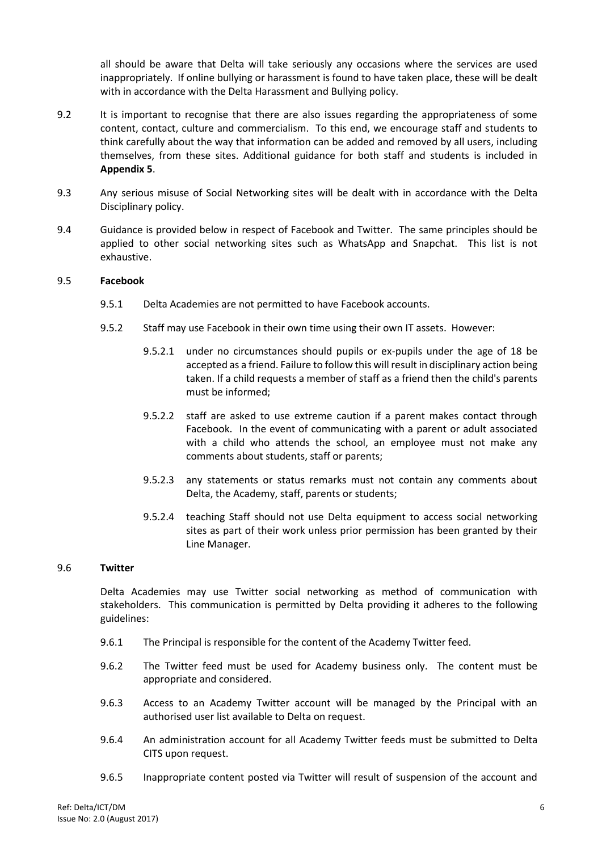all should be aware that Delta will take seriously any occasions where the services are used inappropriately. If online bullying or harassment is found to have taken place, these will be dealt with in accordance with the Delta Harassment and Bullying policy.

- 9.2 It is important to recognise that there are also issues regarding the appropriateness of some content, contact, culture and commercialism. To this end, we encourage staff and students to think carefully about the way that information can be added and removed by all users, including themselves, from these sites. Additional guidance for both staff and students is included in **Appendix 5**.
- 9.3 Any serious misuse of Social Networking sites will be dealt with in accordance with the Delta Disciplinary policy.
- 9.4 Guidance is provided below in respect of Facebook and Twitter. The same principles should be applied to other social networking sites such as WhatsApp and Snapchat. This list is not exhaustive.

#### 9.5 **Facebook**

- 9.5.1 Delta Academies are not permitted to have Facebook accounts.
- 9.5.2 Staff may use Facebook in their own time using their own IT assets. However:
	- 9.5.2.1 under no circumstances should pupils or ex-pupils under the age of 18 be accepted as a friend. Failure to follow this will result in disciplinary action being taken. If a child requests a member of staff as a friend then the child's parents must be informed;
	- 9.5.2.2 staff are asked to use extreme caution if a parent makes contact through Facebook. In the event of communicating with a parent or adult associated with a child who attends the school, an employee must not make any comments about students, staff or parents;
	- 9.5.2.3 any statements or status remarks must not contain any comments about Delta, the Academy, staff, parents or students;
	- 9.5.2.4 teaching Staff should not use Delta equipment to access social networking sites as part of their work unless prior permission has been granted by their Line Manager.

#### 9.6 **Twitter**

Delta Academies may use Twitter social networking as method of communication with stakeholders. This communication is permitted by Delta providing it adheres to the following guidelines:

- 9.6.1 The Principal is responsible for the content of the Academy Twitter feed.
- 9.6.2 The Twitter feed must be used for Academy business only. The content must be appropriate and considered.
- 9.6.3 Access to an Academy Twitter account will be managed by the Principal with an authorised user list available to Delta on request.
- 9.6.4 An administration account for all Academy Twitter feeds must be submitted to Delta CITS upon request.
- 9.6.5 Inappropriate content posted via Twitter will result of suspension of the account and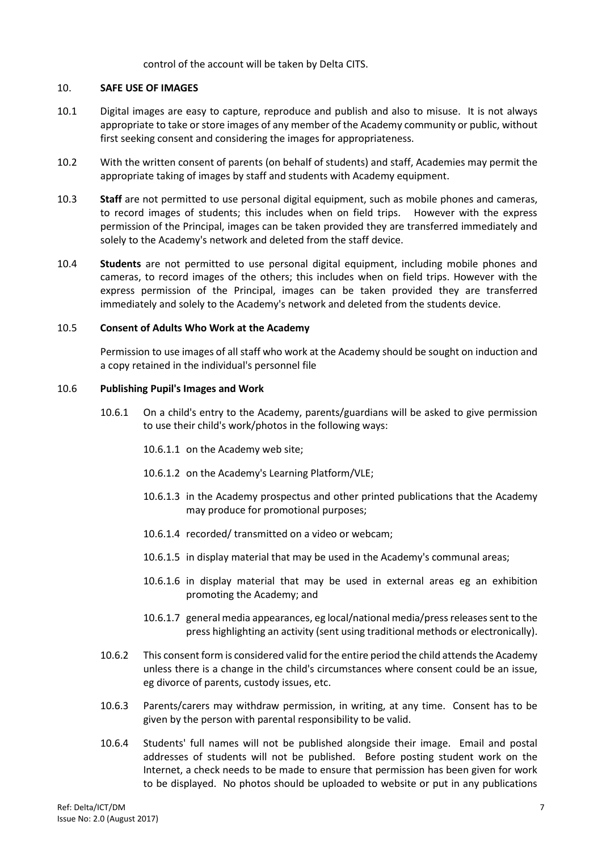control of the account will be taken by Delta CITS.

#### <span id="page-7-0"></span>10. **SAFE USE OF IMAGES**

- 10.1 Digital images are easy to capture, reproduce and publish and also to misuse. It is not always appropriate to take or store images of any member of the Academy community or public, without first seeking consent and considering the images for appropriateness.
- 10.2 With the written consent of parents (on behalf of students) and staff, Academies may permit the appropriate taking of images by staff and students with Academy equipment.
- 10.3 **Staff** are not permitted to use personal digital equipment, such as mobile phones and cameras, to record images of students; this includes when on field trips. However with the express permission of the Principal, images can be taken provided they are transferred immediately and solely to the Academy's network and deleted from the staff device.
- 10.4 **Students** are not permitted to use personal digital equipment, including mobile phones and cameras, to record images of the others; this includes when on field trips. However with the express permission of the Principal, images can be taken provided they are transferred immediately and solely to the Academy's network and deleted from the students device.

#### 10.5 **Consent of Adults Who Work at the Academy**

Permission to use images of all staff who work at the Academy should be sought on induction and a copy retained in the individual's personnel file

#### 10.6 **Publishing Pupil's Images and Work**

- 10.6.1 On a child's entry to the Academy, parents/guardians will be asked to give permission to use their child's work/photos in the following ways:
	- 10.6.1.1 on the Academy web site;
	- 10.6.1.2 on the Academy's Learning Platform/VLE;
	- 10.6.1.3 in the Academy prospectus and other printed publications that the Academy may produce for promotional purposes;
	- 10.6.1.4 recorded/ transmitted on a video or webcam;
	- 10.6.1.5 in display material that may be used in the Academy's communal areas;
	- 10.6.1.6 in display material that may be used in external areas eg an exhibition promoting the Academy; and
	- 10.6.1.7 general media appearances, eg local/national media/press releases sent to the press highlighting an activity (sent using traditional methods or electronically).
- 10.6.2 This consent form is considered valid for the entire period the child attends the Academy unless there is a change in the child's circumstances where consent could be an issue, eg divorce of parents, custody issues, etc.
- 10.6.3 Parents/carers may withdraw permission, in writing, at any time. Consent has to be given by the person with parental responsibility to be valid.
- 10.6.4 Students' full names will not be published alongside their image. Email and postal addresses of students will not be published. Before posting student work on the Internet, a check needs to be made to ensure that permission has been given for work to be displayed. No photos should be uploaded to website or put in any publications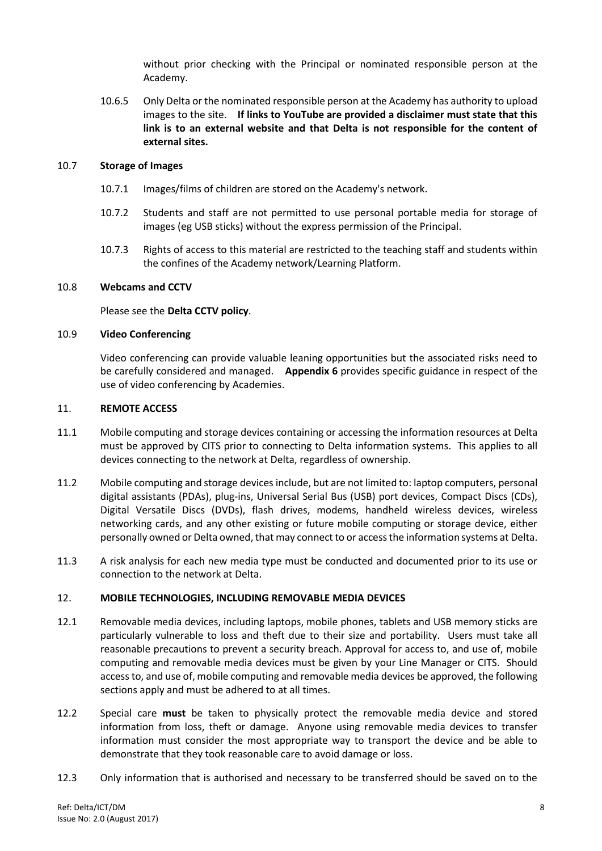without prior checking with the Principal or nominated responsible person at the Academy.

10.6.5 Only Delta or the nominated responsible person at the Academy has authority to upload images to the site. **If links to YouTube are provided a disclaimer must state that this link is to an external website and that Delta is not responsible for the content of external sites.**

#### 10.7 **Storage of Images**

- 10.7.1 Images/films of children are stored on the Academy's network.
- 10.7.2 Students and staff are not permitted to use personal portable media for storage of images (eg USB sticks) without the express permission of the Principal.
- 10.7.3 Rights of access to this material are restricted to the teaching staff and students within the confines of the Academy network/Learning Platform.

#### 10.8 **Webcams and CCTV**

Please see the **Delta CCTV policy**.

#### 10.9 **Video Conferencing**

Video conferencing can provide valuable leaning opportunities but the associated risks need to be carefully considered and managed. **Appendix 6** provides specific guidance in respect of the use of video conferencing by Academies.

#### <span id="page-8-0"></span>11. **REMOTE ACCESS**

- 11.1 Mobile computing and storage devices containing or accessing the information resources at Delta must be approved by CITS prior to connecting to Delta information systems. This applies to all devices connecting to the network at Delta, regardless of ownership.
- 11.2 Mobile computing and storage devices include, but are not limited to: laptop computers, personal digital assistants (PDAs), plug-ins, Universal Serial Bus (USB) port devices, Compact Discs (CDs), Digital Versatile Discs (DVDs), flash drives, modems, handheld wireless devices, wireless networking cards, and any other existing or future mobile computing or storage device, either personally owned or Delta owned, that may connect to or access the information systems at Delta.
- 11.3 A risk analysis for each new media type must be conducted and documented prior to its use or connection to the network at Delta.

#### <span id="page-8-1"></span>12. **MOBILE TECHNOLOGIES, INCLUDING REMOVABLE MEDIA DEVICES**

- 12.1 Removable media devices, including laptops, mobile phones, tablets and USB memory sticks are particularly vulnerable to loss and theft due to their size and portability. Users must take all reasonable precautions to prevent a security breach. Approval for access to, and use of, mobile computing and removable media devices must be given by your Line Manager or CITS. Should access to, and use of, mobile computing and removable media devices be approved, the following sections apply and must be adhered to at all times.
- 12.2 Special care **must** be taken to physically protect the removable media device and stored information from loss, theft or damage. Anyone using removable media devices to transfer information must consider the most appropriate way to transport the device and be able to demonstrate that they took reasonable care to avoid damage or loss.
- 12.3 Only information that is authorised and necessary to be transferred should be saved on to the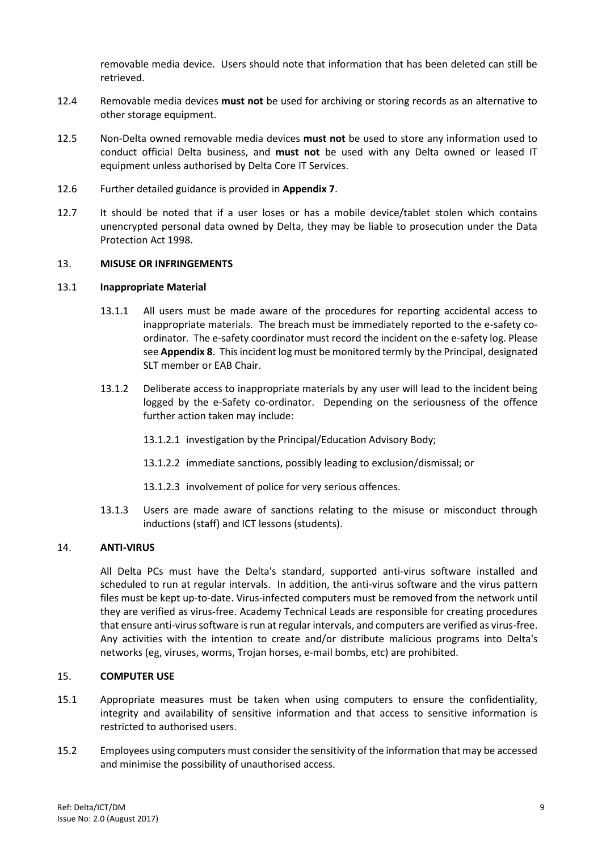removable media device. Users should note that information that has been deleted can still be retrieved.

- 12.4 Removable media devices **must not** be used for archiving or storing records as an alternative to other storage equipment.
- 12.5 Non-Delta owned removable media devices **must not** be used to store any information used to conduct official Delta business, and **must not** be used with any Delta owned or leased IT equipment unless authorised by Delta Core IT Services.
- 12.6 Further detailed guidance is provided in **Appendix 7**.
- 12.7 It should be noted that if a user loses or has a mobile device/tablet stolen which contains unencrypted personal data owned by Delta, they may be liable to prosecution under the Data Protection Act 1998.

#### <span id="page-9-0"></span>13. **MISUSE OR INFRINGEMENTS**

#### 13.1 **Inappropriate Material**

- 13.1.1 All users must be made aware of the procedures for reporting accidental access to inappropriate materials. The breach must be immediately reported to the e-safety coordinator. The e-safety coordinator must record the incident on the e-safety log. Please see **Appendix 8**. This incident log must be monitored termly by the Principal, designated SLT member or EAB Chair.
- 13.1.2 Deliberate access to inappropriate materials by any user will lead to the incident being logged by the e-Safety co-ordinator. Depending on the seriousness of the offence further action taken may include:
	- 13.1.2.1 investigation by the Principal/Education Advisory Body;
	- 13.1.2.2 immediate sanctions, possibly leading to exclusion/dismissal; or
	- 13.1.2.3 involvement of police for very serious offences.
- 13.1.3 Users are made aware of sanctions relating to the misuse or misconduct through inductions (staff) and ICT lessons (students).

#### <span id="page-9-1"></span>14. **ANTI-VIRUS**

All Delta PCs must have the Delta's standard, supported anti-virus software installed and scheduled to run at regular intervals. In addition, the anti-virus software and the virus pattern files must be kept up-to-date. Virus-infected computers must be removed from the network until they are verified as virus-free. Academy Technical Leads are responsible for creating procedures that ensure anti-virus software is run at regular intervals, and computers are verified as virus-free. Any activities with the intention to create and/or distribute malicious programs into Delta's networks (eg, viruses, worms, Trojan horses, e-mail bombs, etc) are prohibited.

# <span id="page-9-2"></span>15. **COMPUTER USE**

- 15.1 Appropriate measures must be taken when using computers to ensure the confidentiality, integrity and availability of sensitive information and that access to sensitive information is restricted to authorised users.
- 15.2 Employees using computers must consider the sensitivity of the information that may be accessed and minimise the possibility of unauthorised access.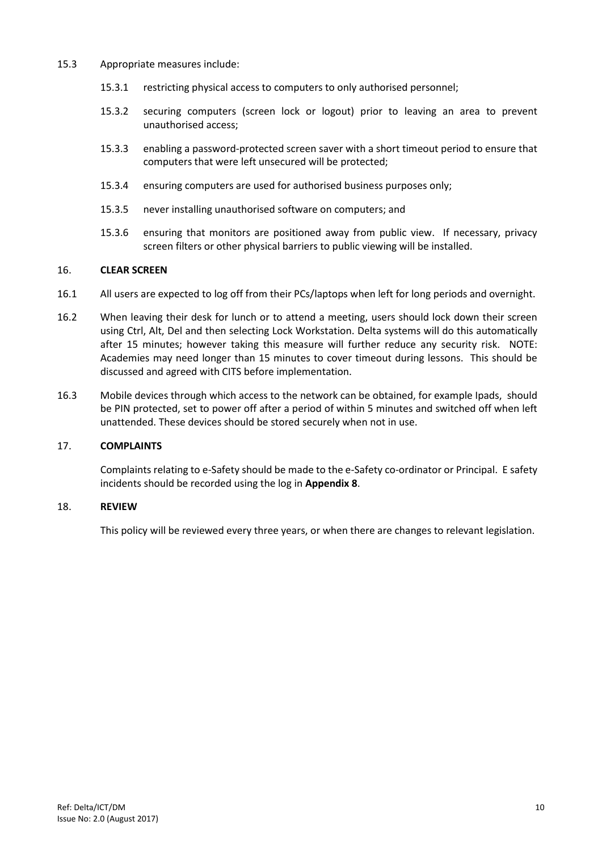#### 15.3 Appropriate measures include:

- 15.3.1 restricting physical access to computers to only authorised personnel;
- 15.3.2 securing computers (screen lock or logout) prior to leaving an area to prevent unauthorised access;
- 15.3.3 enabling a password-protected screen saver with a short timeout period to ensure that computers that were left unsecured will be protected;
- 15.3.4 ensuring computers are used for authorised business purposes only;
- 15.3.5 never installing unauthorised software on computers; and
- 15.3.6 ensuring that monitors are positioned away from public view. If necessary, privacy screen filters or other physical barriers to public viewing will be installed.

#### <span id="page-10-0"></span>16. **CLEAR SCREEN**

- 16.1 All users are expected to log off from their PCs/laptops when left for long periods and overnight.
- 16.2 When leaving their desk for lunch or to attend a meeting, users should lock down their screen using Ctrl, Alt, Del and then selecting Lock Workstation. Delta systems will do this automatically after 15 minutes; however taking this measure will further reduce any security risk. NOTE: Academies may need longer than 15 minutes to cover timeout during lessons. This should be discussed and agreed with CITS before implementation.
- 16.3 Mobile devices through which access to the network can be obtained, for example Ipads, should be PIN protected, set to power off after a period of within 5 minutes and switched off when left unattended. These devices should be stored securely when not in use.

#### <span id="page-10-1"></span>17. **COMPLAINTS**

Complaints relating to e-Safety should be made to the e-Safety co-ordinator or Principal. E safety incidents should be recorded using the log in **Appendix 8**.

#### <span id="page-10-2"></span>18. **REVIEW**

This policy will be reviewed every three years, or when there are changes to relevant legislation.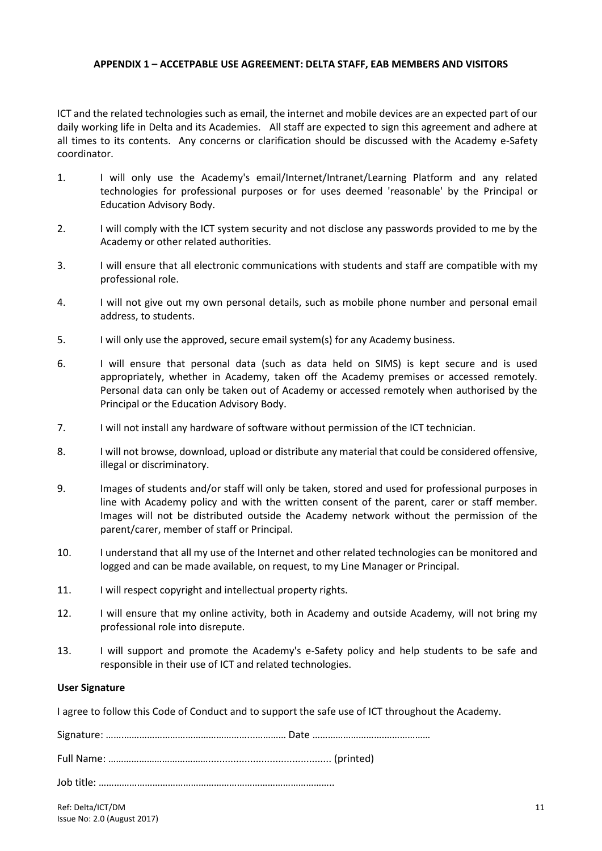#### <span id="page-11-0"></span>**APPENDIX 1 – ACCETPABLE USE AGREEMENT: DELTA STAFF, EAB MEMBERS AND VISITORS**

ICT and the related technologies such as email, the internet and mobile devices are an expected part of our daily working life in Delta and its Academies. All staff are expected to sign this agreement and adhere at all times to its contents. Any concerns or clarification should be discussed with the Academy e-Safety coordinator.

- 1. I will only use the Academy's email/Internet/Intranet/Learning Platform and any related technologies for professional purposes or for uses deemed 'reasonable' by the Principal or Education Advisory Body.
- 2. I will comply with the ICT system security and not disclose any passwords provided to me by the Academy or other related authorities.
- 3. I will ensure that all electronic communications with students and staff are compatible with my professional role.
- 4. I will not give out my own personal details, such as mobile phone number and personal email address, to students.
- 5. I will only use the approved, secure email system(s) for any Academy business.
- 6. I will ensure that personal data (such as data held on SIMS) is kept secure and is used appropriately, whether in Academy, taken off the Academy premises or accessed remotely. Personal data can only be taken out of Academy or accessed remotely when authorised by the Principal or the Education Advisory Body.
- 7. I will not install any hardware of software without permission of the ICT technician.
- 8. I will not browse, download, upload or distribute any material that could be considered offensive, illegal or discriminatory.
- 9. Images of students and/or staff will only be taken, stored and used for professional purposes in line with Academy policy and with the written consent of the parent, carer or staff member. Images will not be distributed outside the Academy network without the permission of the parent/carer, member of staff or Principal.
- 10. I understand that all my use of the Internet and other related technologies can be monitored and logged and can be made available, on request, to my Line Manager or Principal.
- 11. I will respect copyright and intellectual property rights.
- 12. I will ensure that my online activity, both in Academy and outside Academy, will not bring my professional role into disrepute.
- 13. I will support and promote the Academy's e-Safety policy and help students to be safe and responsible in their use of ICT and related technologies.

#### **User Signature**

I agree to follow this Code of Conduct and to support the safe use of ICT throughout the Academy.

Signature: …….…………………………………………...………… Date ……………………….……………… Full Name: …………………………………............................................ (printed)

Job title: ………………………………………………………………………………..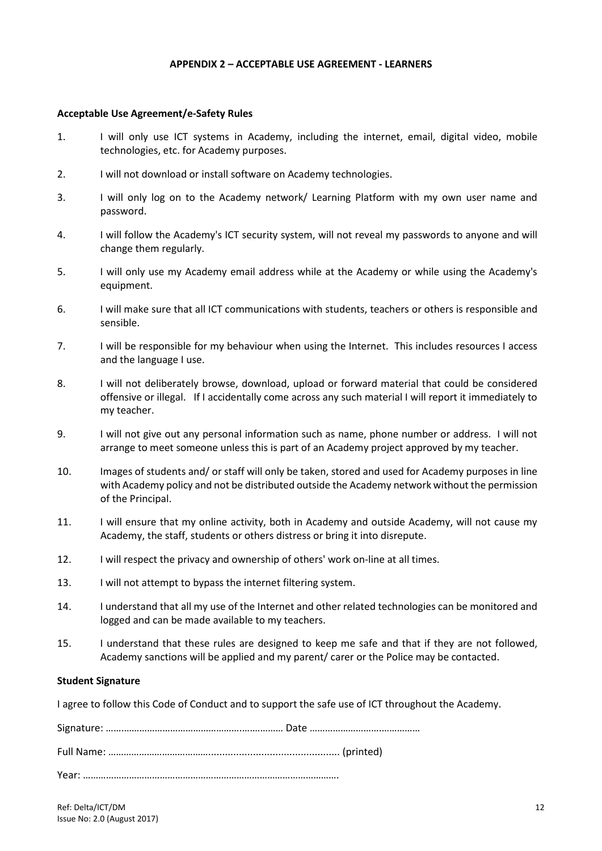#### **APPENDIX 2 – ACCEPTABLE USE AGREEMENT - LEARNERS**

#### <span id="page-12-0"></span>**Acceptable Use Agreement/e-Safety Rules**

- 1. I will only use ICT systems in Academy, including the internet, email, digital video, mobile technologies, etc. for Academy purposes.
- 2. I will not download or install software on Academy technologies.
- 3. I will only log on to the Academy network/ Learning Platform with my own user name and password.
- 4. I will follow the Academy's ICT security system, will not reveal my passwords to anyone and will change them regularly.
- 5. I will only use my Academy email address while at the Academy or while using the Academy's equipment.
- 6. I will make sure that all ICT communications with students, teachers or others is responsible and sensible.
- 7. I will be responsible for my behaviour when using the Internet. This includes resources I access and the language I use.
- 8. I will not deliberately browse, download, upload or forward material that could be considered offensive or illegal. If I accidentally come across any such material I will report it immediately to my teacher.
- 9. I will not give out any personal information such as name, phone number or address. I will not arrange to meet someone unless this is part of an Academy project approved by my teacher.
- 10. Images of students and/ or staff will only be taken, stored and used for Academy purposes in line with Academy policy and not be distributed outside the Academy network without the permission of the Principal.
- 11. I will ensure that my online activity, both in Academy and outside Academy, will not cause my Academy, the staff, students or others distress or bring it into disrepute.
- 12. I will respect the privacy and ownership of others' work on-line at all times.
- 13. I will not attempt to bypass the internet filtering system.
- 14. I understand that all my use of the Internet and other related technologies can be monitored and logged and can be made available to my teachers.
- 15. I understand that these rules are designed to keep me safe and that if they are not followed, Academy sanctions will be applied and my parent/ carer or the Police may be contacted.

#### **Student Signature**

I agree to follow this Code of Conduct and to support the safe use of ICT throughout the Academy.

Signature: …….……………………………………….….………… Date ……………………….…………… Full Name: …………………………………............................................... (printed) Year: ……………………………………………………………………………………….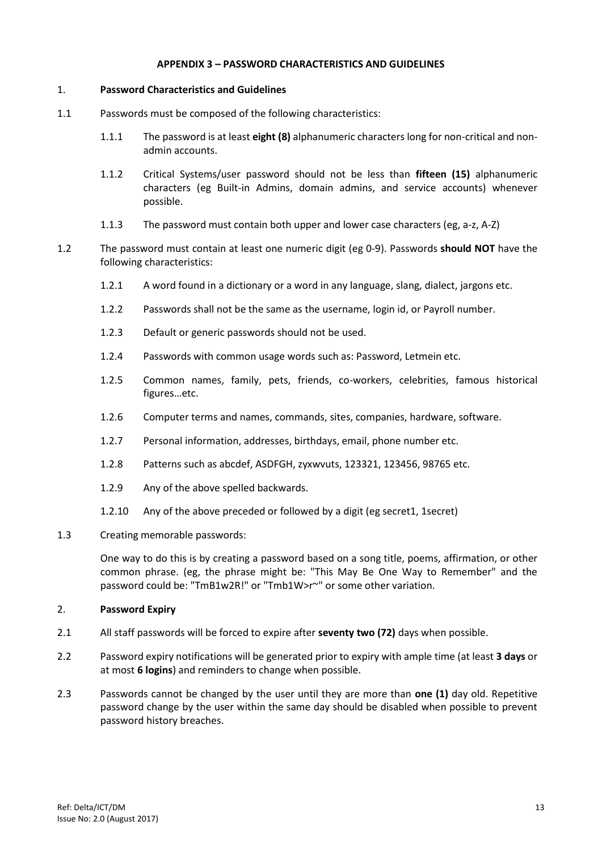## **APPENDIX 3 – PASSWORD CHARACTERISTICS AND GUIDELINES**

# <span id="page-13-0"></span>1. **Password Characteristics and Guidelines**

- 1.1 Passwords must be composed of the following characteristics:
	- 1.1.1 The password is at least **eight (8)** alphanumeric characters long for non-critical and nonadmin accounts.
	- 1.1.2 Critical Systems/user password should not be less than **fifteen (15)** alphanumeric characters (eg Built-in Admins, domain admins, and service accounts) whenever possible.
	- 1.1.3 The password must contain both upper and lower case characters (eg, a-z, A-Z)
- 1.2 The password must contain at least one numeric digit (eg 0-9). Passwords **should NOT** have the following characteristics:
	- 1.2.1 A word found in a dictionary or a word in any language, slang, dialect, jargons etc.
	- 1.2.2 Passwords shall not be the same as the username, login id, or Payroll number.
	- 1.2.3 Default or generic passwords should not be used.
	- 1.2.4 Passwords with common usage words such as: Password, Letmein etc.
	- 1.2.5 Common names, family, pets, friends, co-workers, celebrities, famous historical figures…etc.
	- 1.2.6 Computer terms and names, commands, sites, companies, hardware, software.
	- 1.2.7 Personal information, addresses, birthdays, email, phone number etc.
	- 1.2.8 Patterns such as abcdef, ASDFGH, zyxwvuts, 123321, 123456, 98765 etc.
	- 1.2.9 Any of the above spelled backwards.
	- 1.2.10 Any of the above preceded or followed by a digit (eg secret1, 1secret)
- 1.3 Creating memorable passwords:

One way to do this is by creating a password based on a song title, poems, affirmation, or other common phrase. (eg, the phrase might be: "This May Be One Way to Remember" and the password could be: "TmB1w2R!" or "Tmb1W>r~" or some other variation.

# 2. **Password Expiry**

- 2.1 All staff passwords will be forced to expire after **seventy two (72)** days when possible.
- 2.2 Password expiry notifications will be generated prior to expiry with ample time (at least **3 days** or at most **6 logins**) and reminders to change when possible.
- 2.3 Passwords cannot be changed by the user until they are more than **one (1)** day old. Repetitive password change by the user within the same day should be disabled when possible to prevent password history breaches.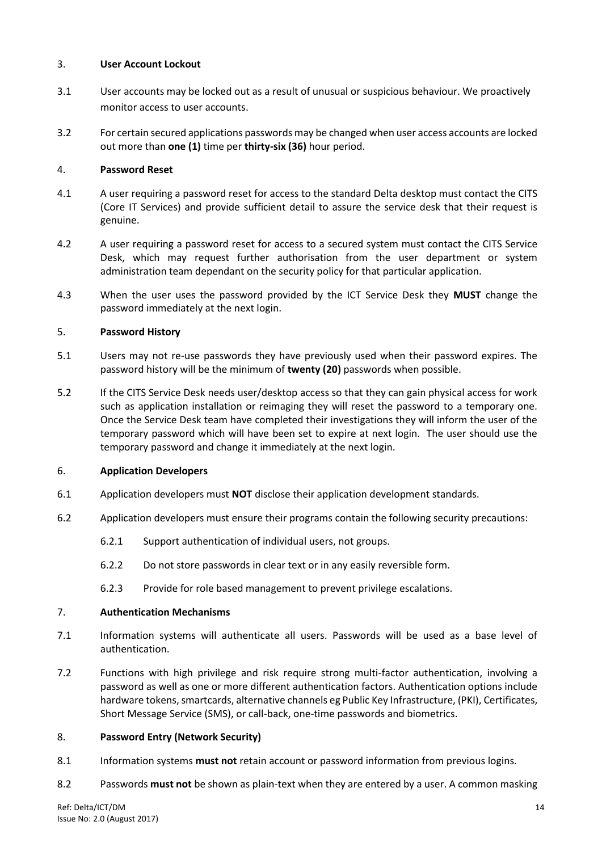# 3. **User Account Lockout**

- 3.1 User accounts may be locked out as a result of unusual or suspicious behaviour. We proactively monitor access to user accounts.
- 3.2 For certain secured applications passwords may be changed when user access accounts are locked out more than **one (1)** time per **thirty-six (36)** hour period.

# 4. **Password Reset**

- 4.1 A user requiring a password reset for access to the standard Delta desktop must contact the CITS (Core IT Services) and provide sufficient detail to assure the service desk that their request is genuine.
- 4.2 A user requiring a password reset for access to a secured system must contact the CITS Service Desk, which may request further authorisation from the user department or system administration team dependant on the security policy for that particular application.
- 4.3 When the user uses the password provided by the ICT Service Desk they **MUST** change the password immediately at the next login.

# 5. **Password History**

- 5.1 Users may not re-use passwords they have previously used when their password expires. The password history will be the minimum of **twenty (20)** passwords when possible.
- 5.2 If the CITS Service Desk needs user/desktop access so that they can gain physical access for work such as application installation or reimaging they will reset the password to a temporary one. Once the Service Desk team have completed their investigations they will inform the user of the temporary password which will have been set to expire at next login. The user should use the temporary password and change it immediately at the next login.

#### 6. **Application Developers**

- 6.1 Application developers must **NOT** disclose their application development standards.
- 6.2 Application developers must ensure their programs contain the following security precautions:
	- 6.2.1 Support authentication of individual users, not groups.
	- 6.2.2 Do not store passwords in clear text or in any easily reversible form.
	- 6.2.3 Provide for role based management to prevent privilege escalations.

#### 7. **Authentication Mechanisms**

- 7.1 Information systems will authenticate all users. Passwords will be used as a base level of authentication.
- 7.2 Functions with high privilege and risk require strong multi-factor authentication, involving a password as well as one or more different authentication factors. Authentication options include hardware tokens, smartcards, alternative channels eg Public Key Infrastructure, (PKI), Certificates, Short Message Service (SMS), or call-back, one-time passwords and biometrics.

#### 8. **Password Entry (Network Security)**

- 8.1 Information systems **must not** retain account or password information from previous logins.
- 8.2 Passwords **must not** be shown as plain-text when they are entered by a user. A common masking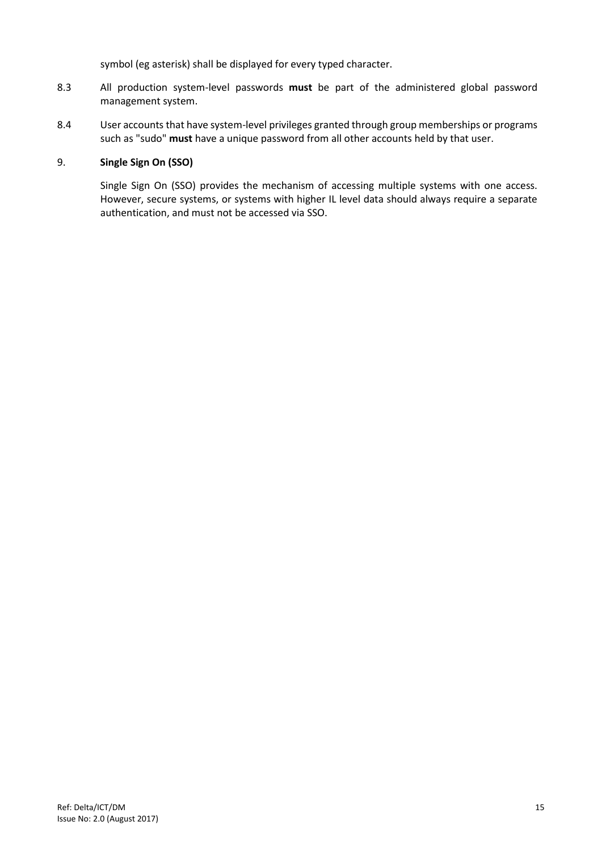symbol (eg asterisk) shall be displayed for every typed character.

- 8.3 All production system-level passwords **must** be part of the administered global password management system.
- 8.4 User accounts that have system-level privileges granted through group memberships or programs such as "sudo" **must** have a unique password from all other accounts held by that user.

# 9. **Single Sign On (SSO)**

Single Sign On (SSO) provides the mechanism of accessing multiple systems with one access. However, secure systems, or systems with higher IL level data should always require a separate authentication, and must not be accessed via SSO.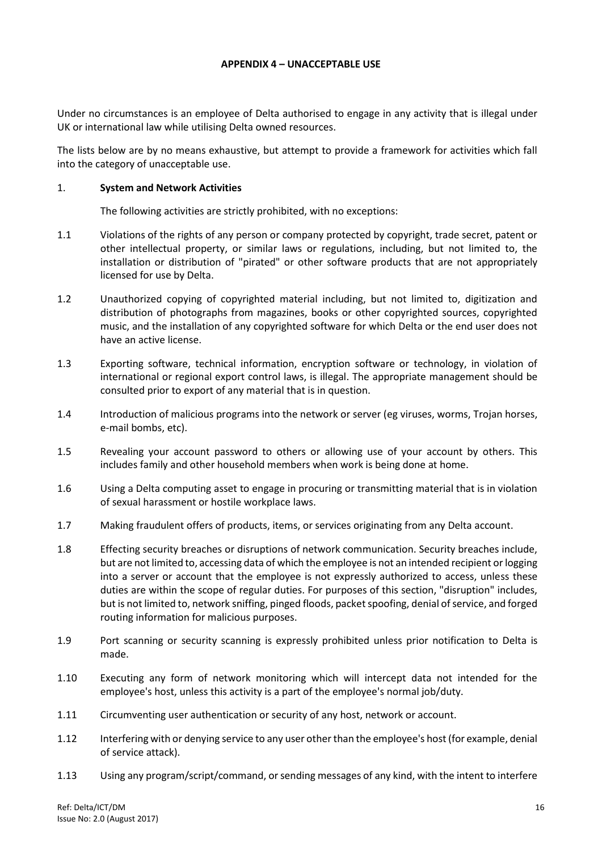#### **APPENDIX 4 – UNACCEPTABLE USE**

<span id="page-16-0"></span>Under no circumstances is an employee of Delta authorised to engage in any activity that is illegal under UK or international law while utilising Delta owned resources.

The lists below are by no means exhaustive, but attempt to provide a framework for activities which fall into the category of unacceptable use.

#### 1. **System and Network Activities**

The following activities are strictly prohibited, with no exceptions:

- 1.1 Violations of the rights of any person or company protected by copyright, trade secret, patent or other intellectual property, or similar laws or regulations, including, but not limited to, the installation or distribution of "pirated" or other software products that are not appropriately licensed for use by Delta.
- 1.2 Unauthorized copying of copyrighted material including, but not limited to, digitization and distribution of photographs from magazines, books or other copyrighted sources, copyrighted music, and the installation of any copyrighted software for which Delta or the end user does not have an active license.
- 1.3 Exporting software, technical information, encryption software or technology, in violation of international or regional export control laws, is illegal. The appropriate management should be consulted prior to export of any material that is in question.
- 1.4 Introduction of malicious programs into the network or server (eg viruses, worms, Trojan horses, e-mail bombs, etc).
- 1.5 Revealing your account password to others or allowing use of your account by others. This includes family and other household members when work is being done at home.
- 1.6 Using a Delta computing asset to engage in procuring or transmitting material that is in violation of sexual harassment or hostile workplace laws.
- 1.7 Making fraudulent offers of products, items, or services originating from any Delta account.
- 1.8 Effecting security breaches or disruptions of network communication. Security breaches include, but are not limited to, accessing data of which the employee is not an intended recipient or logging into a server or account that the employee is not expressly authorized to access, unless these duties are within the scope of regular duties. For purposes of this section, "disruption" includes, but is not limited to, network sniffing, pinged floods, packet spoofing, denial of service, and forged routing information for malicious purposes.
- 1.9 Port scanning or security scanning is expressly prohibited unless prior notification to Delta is made.
- 1.10 Executing any form of network monitoring which will intercept data not intended for the employee's host, unless this activity is a part of the employee's normal job/duty.
- 1.11 Circumventing user authentication or security of any host, network or account.
- 1.12 Interfering with or denying service to any user other than the employee's host (for example, denial of service attack).
- 1.13 Using any program/script/command, or sending messages of any kind, with the intent to interfere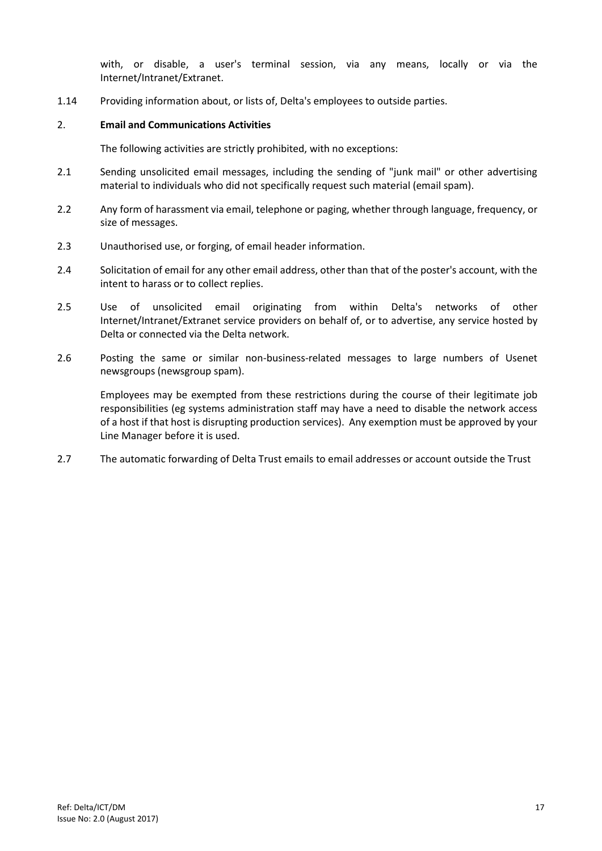with, or disable, a user's terminal session, via any means, locally or via the Internet/Intranet/Extranet.

1.14 Providing information about, or lists of, Delta's employees to outside parties.

## 2. **Email and Communications Activities**

The following activities are strictly prohibited, with no exceptions:

- 2.1 Sending unsolicited email messages, including the sending of "junk mail" or other advertising material to individuals who did not specifically request such material (email spam).
- 2.2 Any form of harassment via email, telephone or paging, whether through language, frequency, or size of messages.
- 2.3 Unauthorised use, or forging, of email header information.
- 2.4 Solicitation of email for any other email address, other than that of the poster's account, with the intent to harass or to collect replies.
- 2.5 Use of unsolicited email originating from within Delta's networks of other Internet/Intranet/Extranet service providers on behalf of, or to advertise, any service hosted by Delta or connected via the Delta network.
- 2.6 Posting the same or similar non-business-related messages to large numbers of Usenet newsgroups (newsgroup spam).

Employees may be exempted from these restrictions during the course of their legitimate job responsibilities (eg systems administration staff may have a need to disable the network access of a host if that host is disrupting production services). Any exemption must be approved by your Line Manager before it is used.

2.7 The automatic forwarding of Delta Trust emails to email addresses or account outside the Trust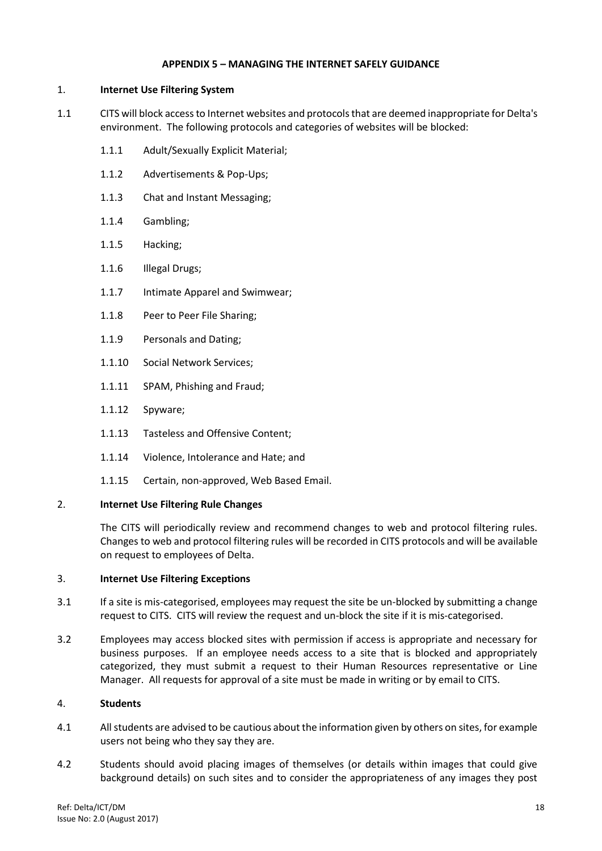## **APPENDIX 5 – MANAGING THE INTERNET SAFELY GUIDANCE**

# <span id="page-18-0"></span>1. **Internet Use Filtering System**

- 1.1 CITS will block access to Internet websites and protocols that are deemed inappropriate for Delta's environment. The following protocols and categories of websites will be blocked:
	- 1.1.1 Adult/Sexually Explicit Material;
	- 1.1.2 Advertisements & Pop-Ups;
	- 1.1.3 Chat and Instant Messaging;
	- 1.1.4 Gambling;
	- 1.1.5 Hacking;
	- 1.1.6 Illegal Drugs;
	- 1.1.7 Intimate Apparel and Swimwear;
	- 1.1.8 Peer to Peer File Sharing;
	- 1.1.9 Personals and Dating;
	- 1.1.10 Social Network Services;
	- 1.1.11 SPAM, Phishing and Fraud;
	- 1.1.12 Spyware;
	- 1.1.13 Tasteless and Offensive Content;
	- 1.1.14 Violence, Intolerance and Hate; and
	- 1.1.15 Certain, non-approved, Web Based Email.

#### 2. **Internet Use Filtering Rule Changes**

The CITS will periodically review and recommend changes to web and protocol filtering rules. Changes to web and protocol filtering rules will be recorded in CITS protocols and will be available on request to employees of Delta.

#### 3. **Internet Use Filtering Exceptions**

- 3.1 If a site is mis-categorised, employees may request the site be un-blocked by submitting a change request to CITS. CITS will review the request and un-block the site if it is mis-categorised.
- 3.2 Employees may access blocked sites with permission if access is appropriate and necessary for business purposes. If an employee needs access to a site that is blocked and appropriately categorized, they must submit a request to their Human Resources representative or Line Manager. All requests for approval of a site must be made in writing or by email to CITS.

#### 4. **Students**

- 4.1 All students are advised to be cautious about the information given by others on sites, for example users not being who they say they are.
- 4.2 Students should avoid placing images of themselves (or details within images that could give background details) on such sites and to consider the appropriateness of any images they post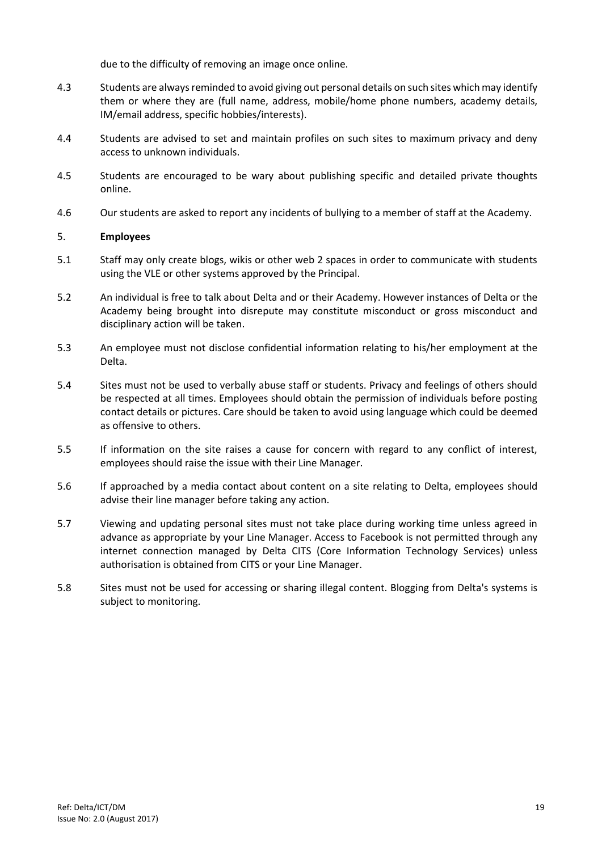due to the difficulty of removing an image once online.

- 4.3 Students are always reminded to avoid giving out personal details on such sites which may identify them or where they are (full name, address, mobile/home phone numbers, academy details, IM/email address, specific hobbies/interests).
- 4.4 Students are advised to set and maintain profiles on such sites to maximum privacy and deny access to unknown individuals.
- 4.5 Students are encouraged to be wary about publishing specific and detailed private thoughts online.
- 4.6 Our students are asked to report any incidents of bullying to a member of staff at the Academy.

# 5. **Employees**

- 5.1 Staff may only create blogs, wikis or other web 2 spaces in order to communicate with students using the VLE or other systems approved by the Principal.
- 5.2 An individual is free to talk about Delta and or their Academy. However instances of Delta or the Academy being brought into disrepute may constitute misconduct or gross misconduct and disciplinary action will be taken.
- 5.3 An employee must not disclose confidential information relating to his/her employment at the Delta.
- 5.4 Sites must not be used to verbally abuse staff or students. Privacy and feelings of others should be respected at all times. Employees should obtain the permission of individuals before posting contact details or pictures. Care should be taken to avoid using language which could be deemed as offensive to others.
- 5.5 If information on the site raises a cause for concern with regard to any conflict of interest, employees should raise the issue with their Line Manager.
- 5.6 If approached by a media contact about content on a site relating to Delta, employees should advise their line manager before taking any action.
- 5.7 Viewing and updating personal sites must not take place during working time unless agreed in advance as appropriate by your Line Manager. Access to Facebook is not permitted through any internet connection managed by Delta CITS (Core Information Technology Services) unless authorisation is obtained from CITS or your Line Manager.
- 5.8 Sites must not be used for accessing or sharing illegal content. Blogging from Delta's systems is subject to monitoring.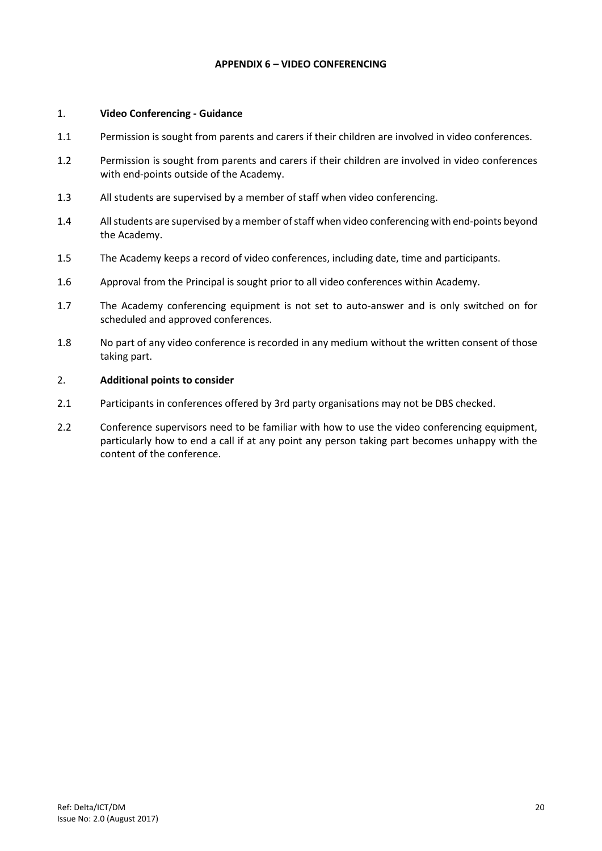## **APPENDIX 6 – VIDEO CONFERENCING**

#### <span id="page-20-0"></span>1. **Video Conferencing - Guidance**

- 1.1 Permission is sought from parents and carers if their children are involved in video conferences.
- 1.2 Permission is sought from parents and carers if their children are involved in video conferences with end-points outside of the Academy.
- 1.3 All students are supervised by a member of staff when video conferencing.
- 1.4 All students are supervised by a member of staff when video conferencing with end-points beyond the Academy.
- 1.5 The Academy keeps a record of video conferences, including date, time and participants.
- 1.6 Approval from the Principal is sought prior to all video conferences within Academy.
- 1.7 The Academy conferencing equipment is not set to auto-answer and is only switched on for scheduled and approved conferences.
- 1.8 No part of any video conference is recorded in any medium without the written consent of those taking part.

# 2. **Additional points to consider**

- 2.1 Participants in conferences offered by 3rd party organisations may not be DBS checked.
- 2.2 Conference supervisors need to be familiar with how to use the video conferencing equipment, particularly how to end a call if at any point any person taking part becomes unhappy with the content of the conference.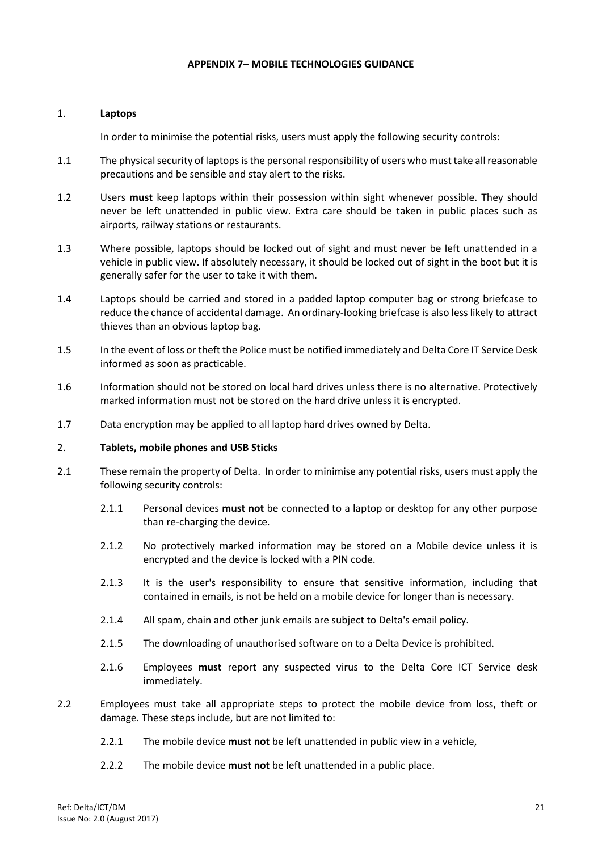#### **APPENDIX 7– MOBILE TECHNOLOGIES GUIDANCE**

#### <span id="page-21-0"></span>1. **Laptops**

In order to minimise the potential risks, users must apply the following security controls:

- 1.1 The physical security of laptops is the personal responsibility of users who must take all reasonable precautions and be sensible and stay alert to the risks.
- 1.2 Users **must** keep laptops within their possession within sight whenever possible. They should never be left unattended in public view. Extra care should be taken in public places such as airports, railway stations or restaurants.
- 1.3 Where possible, laptops should be locked out of sight and must never be left unattended in a vehicle in public view. If absolutely necessary, it should be locked out of sight in the boot but it is generally safer for the user to take it with them.
- 1.4 Laptops should be carried and stored in a padded laptop computer bag or strong briefcase to reduce the chance of accidental damage. An ordinary-looking briefcase is also less likely to attract thieves than an obvious laptop bag.
- 1.5 In the event of loss or theft the Police must be notified immediately and Delta Core IT Service Desk informed as soon as practicable.
- 1.6 Information should not be stored on local hard drives unless there is no alternative. Protectively marked information must not be stored on the hard drive unless it is encrypted.
- 1.7 Data encryption may be applied to all laptop hard drives owned by Delta.
- 2. **Tablets, mobile phones and USB Sticks**
- 2.1 These remain the property of Delta. In order to minimise any potential risks, users must apply the following security controls:
	- 2.1.1 Personal devices **must not** be connected to a laptop or desktop for any other purpose than re-charging the device.
	- 2.1.2 No protectively marked information may be stored on a Mobile device unless it is encrypted and the device is locked with a PIN code.
	- 2.1.3 It is the user's responsibility to ensure that sensitive information, including that contained in emails, is not be held on a mobile device for longer than is necessary.
	- 2.1.4 All spam, chain and other junk emails are subject to Delta's email policy.
	- 2.1.5 The downloading of unauthorised software on to a Delta Device is prohibited.
	- 2.1.6 Employees **must** report any suspected virus to the Delta Core ICT Service desk immediately.
- 2.2 Employees must take all appropriate steps to protect the mobile device from loss, theft or damage. These steps include, but are not limited to:
	- 2.2.1 The mobile device **must not** be left unattended in public view in a vehicle,
	- 2.2.2 The mobile device **must not** be left unattended in a public place.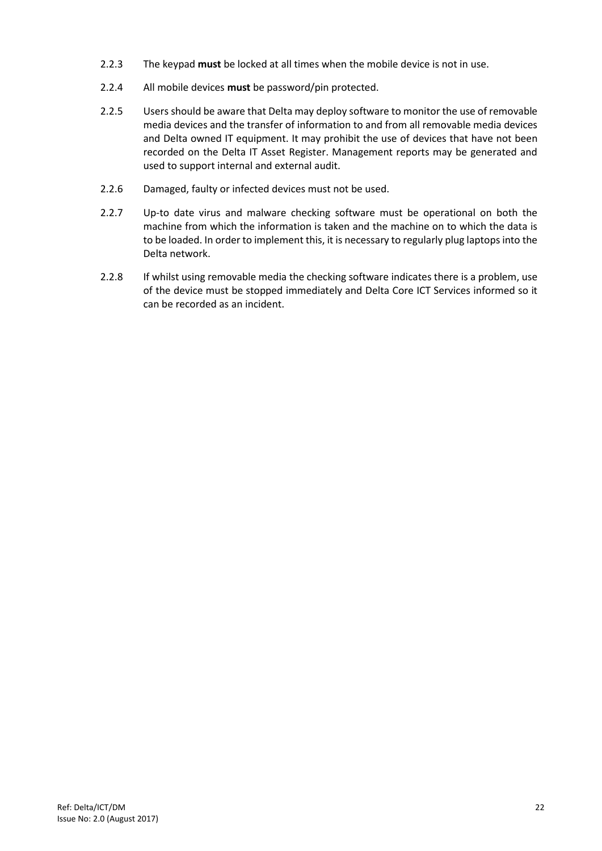- 2.2.3 The keypad **must** be locked at all times when the mobile device is not in use.
- 2.2.4 All mobile devices **must** be password/pin protected.
- 2.2.5 Users should be aware that Delta may deploy software to monitor the use of removable media devices and the transfer of information to and from all removable media devices and Delta owned IT equipment. It may prohibit the use of devices that have not been recorded on the Delta IT Asset Register. Management reports may be generated and used to support internal and external audit.
- 2.2.6 Damaged, faulty or infected devices must not be used.
- 2.2.7 Up-to date virus and malware checking software must be operational on both the machine from which the information is taken and the machine on to which the data is to be loaded. In order to implement this, it is necessary to regularly plug laptops into the Delta network.
- 2.2.8 If whilst using removable media the checking software indicates there is a problem, use of the device must be stopped immediately and Delta Core ICT Services informed so it can be recorded as an incident.